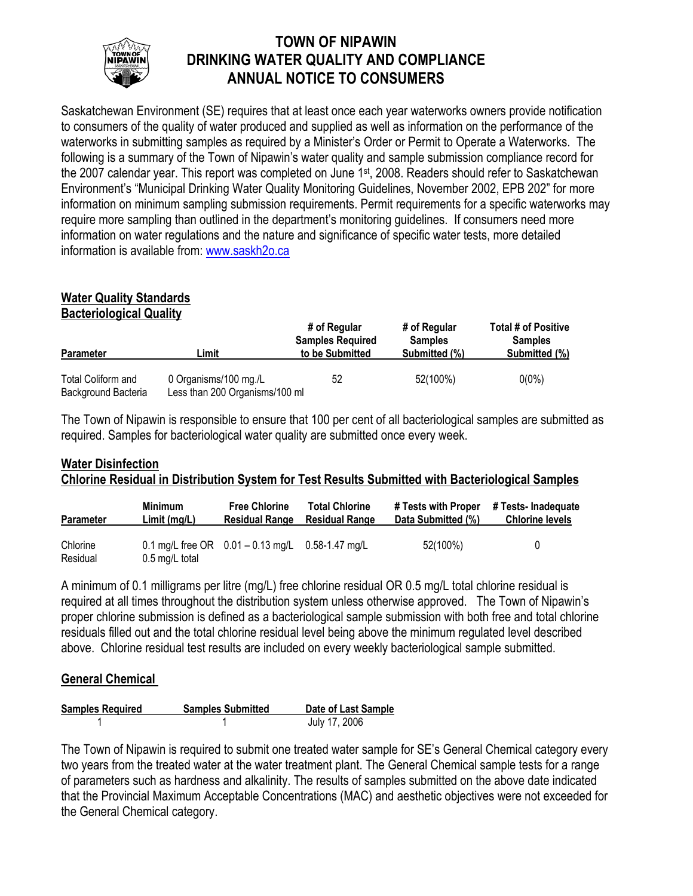

# **TOWN OF NIPAWIN DRINKING WATER QUALITY AND COMPLIANCE ANNUAL NOTICE TO CONSUMERS**

Saskatchewan Environment (SE) requires that at least once each year waterworks owners provide notification to consumers of the quality of water produced and supplied as well as information on the performance of the waterworks in submitting samples as required by a Minister's Order or Permit to Operate a Waterworks. The following is a summary of the Town of Nipawin's water quality and sample submission compliance record for the 2007 calendar year. This report was completed on June 1<sup>st</sup>, 2008. Readers should refer to Saskatchewan Environment's "Municipal Drinking Water Quality Monitoring Guidelines, November 2002, EPB 202" for more information on minimum sampling submission requirements. Permit requirements for a specific waterworks may require more sampling than outlined in the department's monitoring guidelines. If consumers need more information on water regulations and the nature and significance of specific water tests, more detailed information is available from: www.saskh2o.ca

#### **Water Quality Standards Bacteriological Quality**

| <b>Parameter</b>                          | Limit                                                   | # of Regular<br><b>Samples Required</b><br>to be Submitted | # of Regular<br><b>Samples</b><br>Submitted (%) | <b>Total # of Positive</b><br><b>Samples</b><br>Submitted (%) |  |
|-------------------------------------------|---------------------------------------------------------|------------------------------------------------------------|-------------------------------------------------|---------------------------------------------------------------|--|
| Total Coliform and<br>Background Bacteria | 0 Organisms/100 mg./L<br>Less than 200 Organisms/100 ml | 52                                                         | 52(100%)                                        | $0(0\%)$                                                      |  |

The Town of Nipawin is responsible to ensure that 100 per cent of all bacteriological samples are submitted as required. Samples for bacteriological water quality are submitted once every week.

# **Water Disinfection Chlorine Residual in Distribution System for Test Results Submitted with Bacteriological Samples**

| <b>Parameter</b>     | <b>Minimum</b> | <b>Free Chlorine</b>                                   | <b>Total Chlorine</b> | # Tests with Proper | # Tests- Inadeguate    |
|----------------------|----------------|--------------------------------------------------------|-----------------------|---------------------|------------------------|
|                      | Limit(mq/L)    | <b>Residual Range</b>                                  | <b>Residual Range</b> | Data Submitted (%)  | <b>Chlorine levels</b> |
| Chlorine<br>Residual | 0.5 mg/L total | 0.1 mg/L free OR $0.01 - 0.13$ mg/L $0.58 - 1.47$ mg/L |                       | 52(100%)            | U                      |

A minimum of 0.1 milligrams per litre (mg/L) free chlorine residual OR 0.5 mg/L total chlorine residual is required at all times throughout the distribution system unless otherwise approved. The Town of Nipawin's proper chlorine submission is defined as a bacteriological sample submission with both free and total chlorine residuals filled out and the total chlorine residual level being above the minimum regulated level described above. Chlorine residual test results are included on every weekly bacteriological sample submitted.

## **General Chemical**

| <b>Samples Required</b> | <b>Samples Submitted</b> | Date of Last Sample |
|-------------------------|--------------------------|---------------------|
|                         |                          | July 17, 2006       |

The Town of Nipawin is required to submit one treated water sample for SE's General Chemical category every two years from the treated water at the water treatment plant. The General Chemical sample tests for a range of parameters such as hardness and alkalinity. The results of samples submitted on the above date indicated that the Provincial Maximum Acceptable Concentrations (MAC) and aesthetic objectives were not exceeded for the General Chemical category.